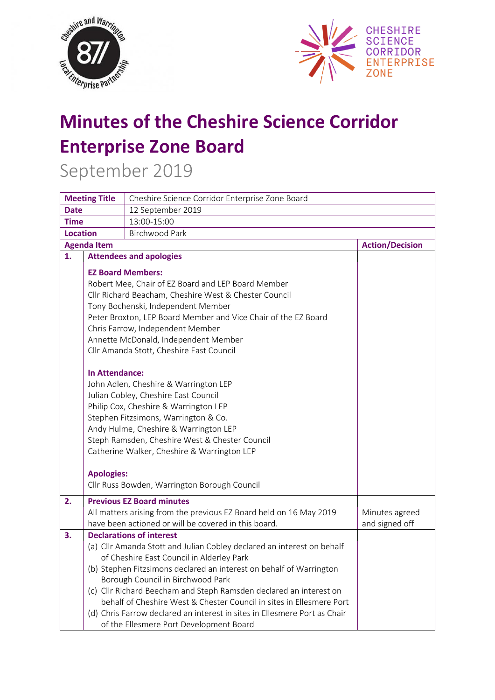



## **Minutes of the Cheshire Science Corridor Enterprise Zone Board**

September 2019

| <b>Meeting Title</b> |                                                                                                                      | Cheshire Science Corridor Enterprise Zone Board                                                                                                                                                                                                                                                                                                                                                                                                                                                                                          |                                  |  |  |
|----------------------|----------------------------------------------------------------------------------------------------------------------|------------------------------------------------------------------------------------------------------------------------------------------------------------------------------------------------------------------------------------------------------------------------------------------------------------------------------------------------------------------------------------------------------------------------------------------------------------------------------------------------------------------------------------------|----------------------------------|--|--|
| <b>Date</b>          |                                                                                                                      | 12 September 2019                                                                                                                                                                                                                                                                                                                                                                                                                                                                                                                        |                                  |  |  |
| <b>Time</b>          |                                                                                                                      | 13:00-15:00                                                                                                                                                                                                                                                                                                                                                                                                                                                                                                                              |                                  |  |  |
| <b>Location</b>      |                                                                                                                      |                                                                                                                                                                                                                                                                                                                                                                                                                                                                                                                                          |                                  |  |  |
| <b>Agenda Item</b>   |                                                                                                                      |                                                                                                                                                                                                                                                                                                                                                                                                                                                                                                                                          | <b>Action/Decision</b>           |  |  |
| 1.                   |                                                                                                                      | <b>Attendees and apologies</b>                                                                                                                                                                                                                                                                                                                                                                                                                                                                                                           |                                  |  |  |
|                      |                                                                                                                      | <b>EZ Board Members:</b><br>Robert Mee, Chair of EZ Board and LEP Board Member<br>Cllr Richard Beacham, Cheshire West & Chester Council                                                                                                                                                                                                                                                                                                                                                                                                  |                                  |  |  |
|                      | Tony Bochenski, Independent Member<br>Peter Broxton, LEP Board Member and Vice Chair of the EZ Board                 |                                                                                                                                                                                                                                                                                                                                                                                                                                                                                                                                          |                                  |  |  |
|                      | Chris Farrow, Independent Member<br>Annette McDonald, Independent Member<br>Cllr Amanda Stott, Cheshire East Council |                                                                                                                                                                                                                                                                                                                                                                                                                                                                                                                                          |                                  |  |  |
|                      | <b>In Attendance:</b><br><b>Apologies:</b>                                                                           | John Adlen, Cheshire & Warrington LEP<br>Julian Cobley, Cheshire East Council<br>Philip Cox, Cheshire & Warrington LEP<br>Stephen Fitzsimons, Warrington & Co.<br>Andy Hulme, Cheshire & Warrington LEP<br>Steph Ramsden, Cheshire West & Chester Council<br>Catherine Walker, Cheshire & Warrington LEP<br>Cllr Russ Bowden, Warrington Borough Council                                                                                                                                                                                 |                                  |  |  |
| 2.                   |                                                                                                                      | <b>Previous EZ Board minutes</b><br>All matters arising from the previous EZ Board held on 16 May 2019<br>have been actioned or will be covered in this board.                                                                                                                                                                                                                                                                                                                                                                           | Minutes agreed<br>and signed off |  |  |
| 3.                   |                                                                                                                      | <b>Declarations of interest</b><br>(a) Cllr Amanda Stott and Julian Cobley declared an interest on behalf<br>of Cheshire East Council in Alderley Park<br>(b) Stephen Fitzsimons declared an interest on behalf of Warrington<br>Borough Council in Birchwood Park<br>(c) Cllr Richard Beecham and Steph Ramsden declared an interest on<br>behalf of Cheshire West & Chester Council in sites in Ellesmere Port<br>(d) Chris Farrow declared an interest in sites in Ellesmere Port as Chair<br>of the Ellesmere Port Development Board |                                  |  |  |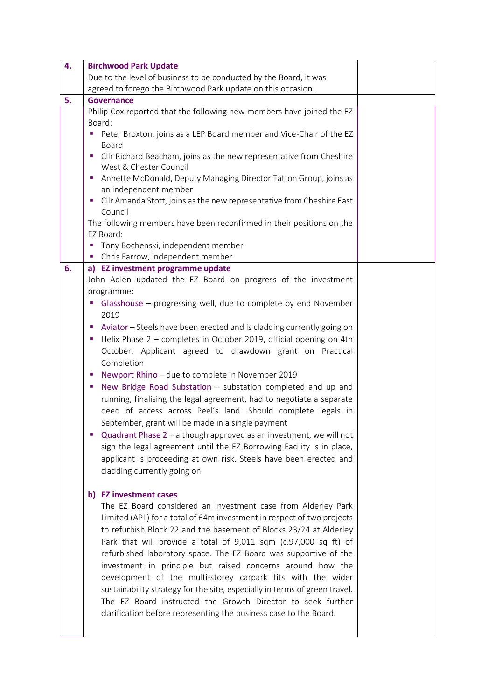| 4. | <b>Birchwood Park Update</b>                                               |  |
|----|----------------------------------------------------------------------------|--|
|    | Due to the level of business to be conducted by the Board, it was          |  |
|    | agreed to forego the Birchwood Park update on this occasion.               |  |
| 5. | <b>Governance</b>                                                          |  |
|    | Philip Cox reported that the following new members have joined the EZ      |  |
|    | Board:                                                                     |  |
|    | Peter Broxton, joins as a LEP Board member and Vice-Chair of the EZ        |  |
|    | Board                                                                      |  |
|    | Cllr Richard Beacham, joins as the new representative from Cheshire<br>ш   |  |
|    | West & Chester Council                                                     |  |
|    | Annette McDonald, Deputy Managing Director Tatton Group, joins as<br>п     |  |
|    | an independent member                                                      |  |
|    | Cllr Amanda Stott, joins as the new representative from Cheshire East<br>ш |  |
|    | Council                                                                    |  |
|    | The following members have been reconfirmed in their positions on the      |  |
|    | EZ Board:                                                                  |  |
|    | " Tony Bochenski, independent member                                       |  |
|    | • Chris Farrow, independent member                                         |  |
| 6. | a) EZ investment programme update                                          |  |
|    | John Adlen updated the EZ Board on progress of the investment              |  |
|    | programme:                                                                 |  |
|    | • Glasshouse – progressing well, due to complete by end November           |  |
|    | 2019                                                                       |  |
|    | Aviator - Steels have been erected and is cladding currently going on<br>ш |  |
|    | Helix Phase 2 - completes in October 2019, official opening on 4th<br>ш    |  |
|    | October. Applicant agreed to drawdown grant on Practical                   |  |
|    | Completion                                                                 |  |
|    | Newport Rhino - due to complete in November 2019<br>×,                     |  |
|    | New Bridge Road Substation - substation completed and up and<br>ш          |  |
|    | running, finalising the legal agreement, had to negotiate a separate       |  |
|    | deed of access across Peel's land. Should complete legals in               |  |
|    | September, grant will be made in a single payment                          |  |
|    | Quadrant Phase 2 - although approved as an investment, we will not         |  |
|    | sign the legal agreement until the EZ Borrowing Facility is in place,      |  |
|    | applicant is proceeding at own risk. Steels have been erected and          |  |
|    |                                                                            |  |
|    | cladding currently going on                                                |  |
|    |                                                                            |  |
|    | b) EZ investment cases                                                     |  |
|    | The EZ Board considered an investment case from Alderley Park              |  |
|    | Limited (APL) for a total of £4m investment in respect of two projects     |  |
|    | to refurbish Block 22 and the basement of Blocks 23/24 at Alderley         |  |
|    | Park that will provide a total of 9,011 sqm (c.97,000 sq ft) of            |  |
|    | refurbished laboratory space. The EZ Board was supportive of the           |  |
|    | investment in principle but raised concerns around how the                 |  |
|    | development of the multi-storey carpark fits with the wider                |  |
|    | sustainability strategy for the site, especially in terms of green travel. |  |
|    | The EZ Board instructed the Growth Director to seek further                |  |
|    | clarification before representing the business case to the Board.          |  |
|    |                                                                            |  |
|    |                                                                            |  |
|    |                                                                            |  |